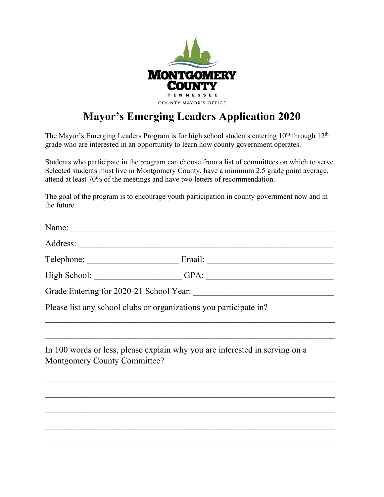

## **Mayor's Emerging Leaders Application 2020**

The Mayor's Emerging Leaders Program is for high school students entering  $10<sup>th</sup>$  through  $12<sup>th</sup>$ grade who are interested in an opportunity to learn how county government operates.

Students who participate in the program can choose from a list of committees on which to serve. Selected students must live in Montgomery County, have a minimum 2.5 grade point average, attend at least 70% of the meetings and have two letters of recommendation.

The goal of the program is to encourage youth participation in county government now and in the future.

| Name: $\frac{1}{\sqrt{1-\frac{1}{2}} \cdot \frac{1}{2}}$ |                                                                                                                                                                                                                                |  |
|----------------------------------------------------------|--------------------------------------------------------------------------------------------------------------------------------------------------------------------------------------------------------------------------------|--|
|                                                          |                                                                                                                                                                                                                                |  |
|                                                          | Telephone: ______________________________Email: ________________________________                                                                                                                                               |  |
|                                                          | High School: GPA: GPA: GPA: CHEREN PRESENTED BY A SCHOOL CONTROL CONTROL CONTROL CONTROL CONTROL CONTROL CONTROL CONTROL CONTROL CONTROL CONTROL CONTROL CONTROL CONTROL CONTROL CONTROL CONTROL CONTROL CONTROL CONTROL CONTR |  |
|                                                          | Grade Entering for 2020-21 School Year:                                                                                                                                                                                        |  |
|                                                          | Please list any school clubs or organizations you participate in?                                                                                                                                                              |  |
|                                                          |                                                                                                                                                                                                                                |  |
| Montgomery County Committee?                             | In 100 words or less, please explain why you are interested in serving on a                                                                                                                                                    |  |
|                                                          |                                                                                                                                                                                                                                |  |
|                                                          |                                                                                                                                                                                                                                |  |
|                                                          |                                                                                                                                                                                                                                |  |

 $\mathcal{L}_\text{max}$  , and the contract of the contract of the contract of the contract of the contract of the contract of the contract of the contract of the contract of the contract of the contract of the contract of the contr

 $\mathcal{L}_\text{max}$  , and the contract of the contract of the contract of the contract of the contract of the contract of the contract of the contract of the contract of the contract of the contract of the contract of the contr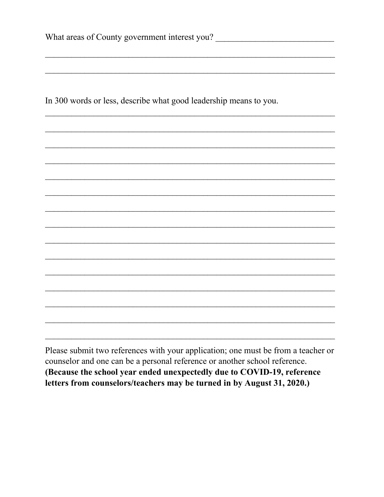In 300 words or less, describe what good leadership means to you.

Please submit two references with your application; one must be from a teacher or counselor and one can be a personal reference or another school reference. (Because the school year ended unexpectedly due to COVID-19, reference letters from counselors/teachers may be turned in by August 31, 2020.)